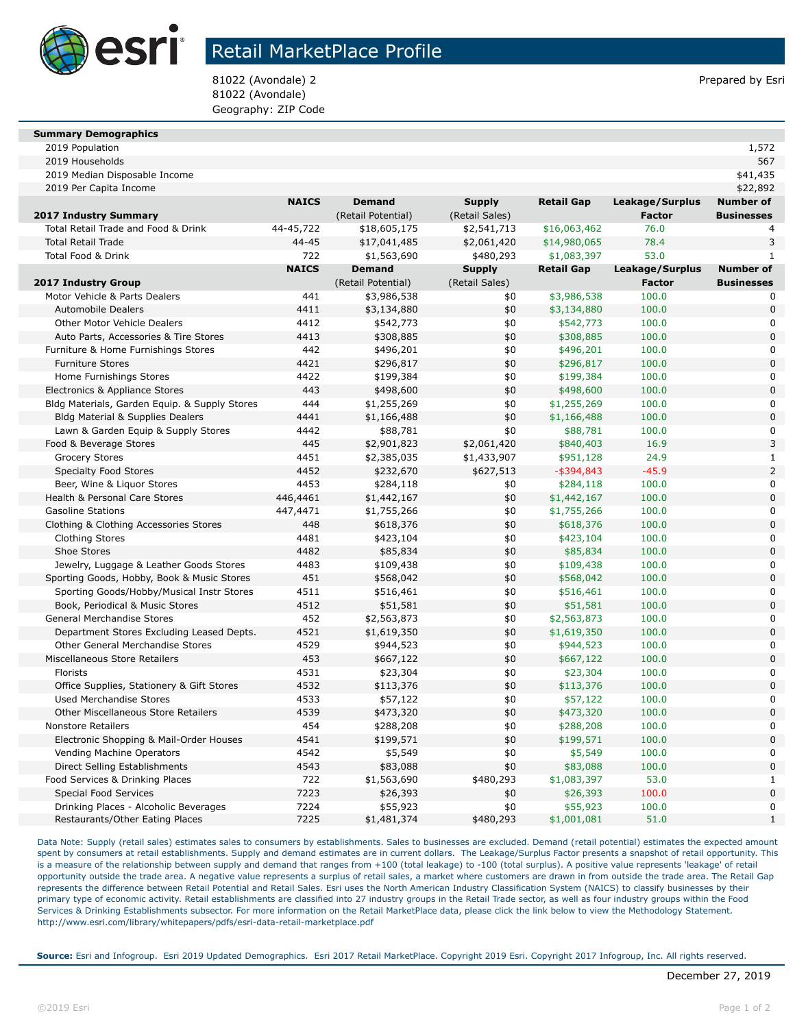

## Retail MarketPlace Profile

81022 (Avondale) 2 Prepared by Esri 81022 (Avondale) Geography: ZIP Code

#### **Summary Demographics**

2019 Population 1,572

| 2019 Median Disposable Income                                            |              |                         |                  |                         |                 | \$41,435                         |
|--------------------------------------------------------------------------|--------------|-------------------------|------------------|-------------------------|-----------------|----------------------------------|
| 2019 Per Capita Income                                                   |              |                         |                  |                         |                 | \$22,892                         |
|                                                                          | <b>NAICS</b> | <b>Demand</b>           | <b>Supply</b>    | <b>Retail Gap</b>       | Leakage/Surplus | <b>Number of</b>                 |
| 2017 Industry Summary                                                    |              | (Retail Potential)      | (Retail Sales)   |                         | <b>Factor</b>   | <b>Businesses</b>                |
| Total Retail Trade and Food & Drink                                      | 44-45,722    | \$18,605,175            | \$2,541,713      | \$16,063,462            | 76.0            | 4                                |
| <b>Total Retail Trade</b>                                                | 44-45        | \$17,041,485            | \$2,061,420      | \$14,980,065            | 78.4            | 3                                |
| Total Food & Drink                                                       | 722          | \$1,563,690             | \$480,293        | \$1,083,397             | 53.0            | $\mathbf{1}$                     |
|                                                                          | <b>NAICS</b> | <b>Demand</b>           | <b>Supply</b>    | <b>Retail Gap</b>       | Leakage/Surplus | <b>Number of</b>                 |
| 2017 Industry Group                                                      |              | (Retail Potential)      | (Retail Sales)   |                         | <b>Factor</b>   | <b>Businesses</b>                |
| Motor Vehicle & Parts Dealers                                            | 441          | \$3,986,538             | \$0              | \$3,986,538             | 100.0           |                                  |
| <b>Automobile Dealers</b>                                                | 4411         | \$3,134,880             | \$0              | \$3,134,880             | 100.0           | 0                                |
| <b>Other Motor Vehicle Dealers</b>                                       | 4412         | \$542,773               | \$0              | \$542,773               | 100.0           | 0                                |
| Auto Parts, Accessories & Tire Stores                                    | 4413         | \$308,885               | \$0              | \$308,885               | 100.0           | $\overline{0}$                   |
| Furniture & Home Furnishings Stores                                      | 442          | \$496,201               | \$0              | \$496,201               | 100.0           | 0                                |
| <b>Furniture Stores</b>                                                  | 4421         | \$296,817               | \$0              | \$296,817               | 100.0           | $\overline{0}$                   |
| Home Furnishings Stores                                                  | 4422         | \$199,384               | \$0              | \$199,384               | 100.0           | 0                                |
| Electronics & Appliance Stores                                           | 443          | \$498,600               | \$0              | \$498,600               | 100.0           | $\overline{0}$                   |
| Bldg Materials, Garden Equip. & Supply Stores                            | 444          | \$1,255,269             | \$0              | \$1,255,269             | 100.0           | 0                                |
| Bldg Material & Supplies Dealers                                         | 4441         | \$1,166,488             | \$0              | \$1,166,488             | 100.0           | $\overline{0}$                   |
| Lawn & Garden Equip & Supply Stores                                      | 4442         | \$88,781                | \$0              | \$88,781                | 100.0           | 0                                |
| Food & Beverage Stores                                                   | 445          | \$2,901,823             | \$2,061,420      | \$840,403               | 16.9            | 3                                |
| <b>Grocery Stores</b>                                                    | 4451         | \$2,385,035             | \$1,433,907      | \$951,128               | 24.9            | $\mathbf{1}$                     |
| <b>Specialty Food Stores</b>                                             | 4452         | \$232,670               | \$627,513        | $-$ \$394,843           | $-45.9$         | $\overline{a}$                   |
| Beer, Wine & Liquor Stores                                               | 4453         | \$284,118               | \$0              | \$284,118               | 100.0           | 0                                |
| Health & Personal Care Stores                                            | 446,4461     | \$1,442,167             | \$0              | \$1,442,167             | 100.0           | $\Omega$                         |
| <b>Gasoline Stations</b>                                                 | 447,4471     | \$1,755,266             | \$0              | \$1,755,266             | 100.0           | $\Omega$                         |
| Clothing & Clothing Accessories Stores                                   | 448          | \$618,376               | \$0              | \$618,376               | 100.0           | $\overline{0}$                   |
| <b>Clothing Stores</b>                                                   | 4481         | \$423,104               | \$0              | \$423,104               | 100.0           | O                                |
| Shoe Stores                                                              | 4482         | \$85,834                | \$0              | \$85,834                | 100.0           | 0                                |
| Jewelry, Luggage & Leather Goods Stores                                  | 4483         | \$109,438               | \$0              | \$109,438               | 100.0           | 0                                |
| Sporting Goods, Hobby, Book & Music Stores                               | 451          | \$568,042               | \$0              | \$568,042               | 100.0           | 0                                |
| Sporting Goods/Hobby/Musical Instr Stores                                | 4511         | \$516,461               | \$0              | \$516,461               | 100.0           |                                  |
| Book, Periodical & Music Stores                                          | 4512         | \$51,581                | \$0              | \$51,581                | 100.0           | 0                                |
| General Merchandise Stores                                               | 452          | \$2,563,873             | \$0              | \$2,563,873             | 100.0           |                                  |
| Department Stores Excluding Leased Depts.                                | 4521         | \$1,619,350             | \$0              | \$1,619,350             | 100.0           | 0                                |
| Other General Merchandise Stores                                         | 4529         | \$944,523               | \$0              | \$944,523               | 100.0           |                                  |
| Miscellaneous Store Retailers                                            | 453          | \$667,122               | \$0              | \$667,122               | 100.0           | 0                                |
| Florists                                                                 | 4531         | \$23,304                | \$0              | \$23,304                | 100.0           | 0                                |
| Office Supplies, Stationery & Gift Stores                                | 4532         | \$113,376               | \$0              | \$113,376               | 100.0           | 0                                |
| <b>Used Merchandise Stores</b>                                           | 4533         | \$57,122                | \$0              | \$57,122                | 100.0           | 0                                |
| <b>Other Miscellaneous Store Retailers</b>                               | 4539         | \$473,320               | \$0              | \$473,320               | 100.0           | $\overline{0}$                   |
| <b>Nonstore Retailers</b>                                                | 454          | \$288,208               | \$0              | \$288,208               | 100.0           | 0                                |
| Electronic Shopping & Mail-Order Houses                                  | 4541         | \$199,571               | \$0              | \$199,571               | 100.0           | $\overline{0}$                   |
| Vending Machine Operators                                                | 4542         | \$5,549                 | \$0              | \$5,549                 | 100.0           | 0                                |
| Direct Selling Establishments                                            | 4543         | \$83,088                | \$0              | \$83,088                | 100.0           | $\overline{0}$                   |
| Food Services & Drinking Places                                          | 722          | \$1,563,690             | \$480,293        | \$1,083,397             | 53.0            | $\mathbf{1}$                     |
| Special Food Services                                                    | 7223         | \$26,393                | \$0              | \$26,393                | 100.0           | $\overline{0}$<br>$\overline{0}$ |
| Drinking Places - Alcoholic Beverages<br>Restaurants/Other Eating Places | 7224<br>7225 | \$55,923<br>\$1,481,374 | \$0<br>\$480,293 | \$55,923<br>\$1,001,081 | 100.0<br>51.0   | $\mathbf{1}$                     |
|                                                                          |              |                         |                  |                         |                 |                                  |

2019 Households 567

Data Note: Supply (retail sales) estimates sales to consumers by establishments. Sales to businesses are excluded. Demand (retail potential) estimates the expected amount spent by consumers at retail establishments. Supply and demand estimates are in current dollars. The Leakage/Surplus Factor presents a snapshot of retail opportunity. This is a measure of the relationship between supply and demand that ranges from +100 (total leakage) to -100 (total surplus). A positive value represents 'leakage' of retail opportunity outside the trade area. A negative value represents a surplus of retail sales, a market where customers are drawn in from outside the trade area. The Retail Gap represents the difference between Retail Potential and Retail Sales. Esri uses the North American Industry Classification System (NAICS) to classify businesses by their primary type of economic activity. Retail establishments are classified into 27 industry groups in the Retail Trade sector, as well as four industry groups within the Food Services & Drinking Establishments subsector. For more information on the Retail MarketPlace data, please click the link below to view the Methodology Statement. http://www.esri.com/library/whitepapers/pdfs/esri-data-retail-marketplace.pdf

**Source:** Esri and Infogroup. Esri 2019 Updated Demographics. Esri 2017 Retail MarketPlace. Copyright 2019 Esri. Copyright 2017 Infogroup, Inc. All rights reserved.